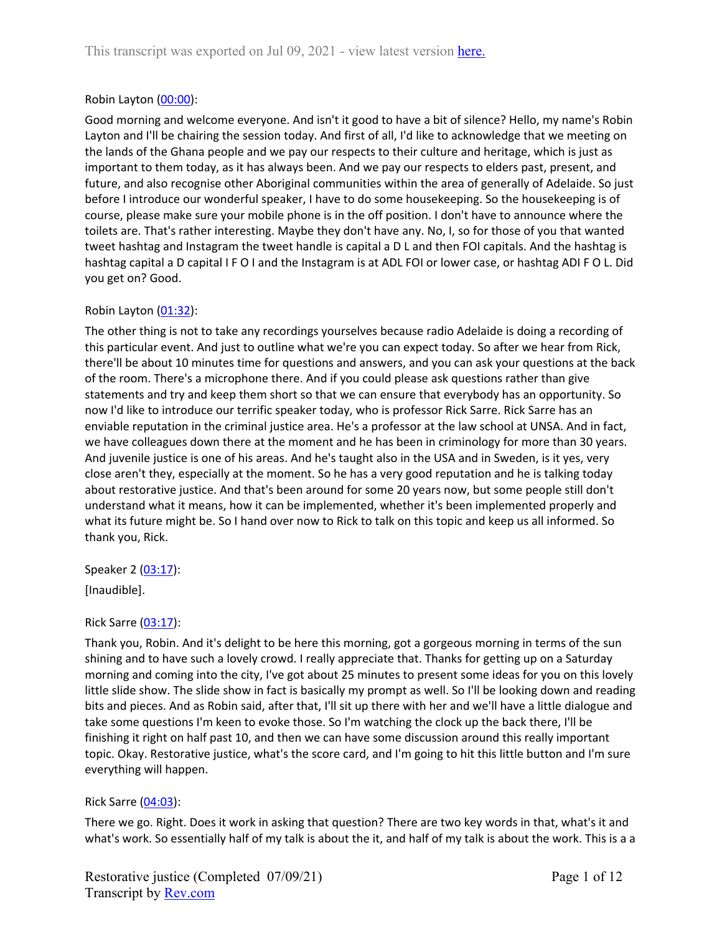## Robin Layton [\(00:00\)](https://www.rev.com/transcript-editor/Edit?token=X1CVML2_g3xnQIfv9e35JQLRZir6hNY_b-F0AhWlRph7gTSFqoim28OkoooaCCa4h0yAW9QIeEV7VBPgV6a07z1SJwI&loadFrom=DocumentDeeplink&ts=0.18):

Good morning and welcome everyone. And isn't it good to have a bit of silence? Hello, my name's Robin Layton and I'll be chairing the session today. And first of all, I'd like to acknowledge that we meeting on the lands of the Ghana people and we pay our respects to their culture and heritage, which is just as important to them today, as it has always been. And we pay our respects to elders past, present, and future, and also recognise other Aboriginal communities within the area of generally of Adelaide. So just before I introduce our wonderful speaker, I have to do some housekeeping. So the housekeeping is of course, please make sure your mobile phone is in the off position. I don't have to announce where the toilets are. That's rather interesting. Maybe they don't have any. No, I, so for those of you that wanted tweet hashtag and Instagram the tweet handle is capital a D L and then FOI capitals. And the hashtag is hashtag capital a D capital I F O I and the Instagram is at ADL FOI or lower case, or hashtag ADI F O L. Did you get on? Good.

## Robin Layton [\(01:32\)](https://www.rev.com/transcript-editor/Edit?token=4-9FCGjhTkeNUCNmjtUiXzuUsUo6BGKb1J6MLSLkO9deNRXKycp_mNUu2RCoeYsePBSZZOgaFj6eMyY6EjjWSyyBWss&loadFrom=DocumentDeeplink&ts=92.93):

The other thing is not to take any recordings yourselves because radio Adelaide is doing a recording of this particular event. And just to outline what we're you can expect today. So after we hear from Rick, there'll be about 10 minutes time for questions and answers, and you can ask your questions at the back of the room. There's a microphone there. And if you could please ask questions rather than give statements and try and keep them short so that we can ensure that everybody has an opportunity. So now I'd like to introduce our terrific speaker today, who is professor Rick Sarre. Rick Sarre has an enviable reputation in the criminal justice area. He's a professor at the law school at UNSA. And in fact, we have colleagues down there at the moment and he has been in criminology for more than 30 years. And juvenile justice is one of his areas. And he's taught also in the USA and in Sweden, is it yes, very close aren't they, especially at the moment. So he has a very good reputation and he is talking today about restorative justice. And that's been around for some 20 years now, but some people still don't understand what it means, how it can be implemented, whether it's been implemented properly and what its future might be. So I hand over now to Rick to talk on this topic and keep us all informed. So thank you, Rick.

Speaker 2 ([03:17](https://www.rev.com/transcript-editor/Edit?token=TYPxy1qPZG1hQgOmYeiBE9JDaebeNo3I_Oj0zFkEuujNmJkLd9ZDC2iBJMDdUN3ffFtoW7empXpLuROMYnrIaclVLdQ&loadFrom=DocumentDeeplink&ts=197.04)):

[Inaudible].

#### Rick Sarre ([03:17](https://www.rev.com/transcript-editor/Edit?token=b0KwMuW6ssO_Wz3qdPkH5Q5mBgm5OZUPiK9bY7hXipYXpxunoM6zlwS_fAhz2zhrdksQmEDrj6U9BFIf7GVytPqFGLQ&loadFrom=DocumentDeeplink&ts=197.82)):

Thank you, Robin. And it's delight to be here this morning, got a gorgeous morning in terms of the sun shining and to have such a lovely crowd. I really appreciate that. Thanks for getting up on a Saturday morning and coming into the city, I've got about 25 minutes to present some ideas for you on this lovely little slide show. The slide show in fact is basically my prompt as well. So I'll be looking down and reading bits and pieces. And as Robin said, after that, I'll sit up there with her and we'll have a little dialogue and take some questions I'm keen to evoke those. So I'm watching the clock up the back there, I'll be finishing it right on half past 10, and then we can have some discussion around this really important topic. Okay. Restorative justice, what's the score card, and I'm going to hit this little button and I'm sure everything will happen.

#### Rick Sarre ([04:03](https://www.rev.com/transcript-editor/Edit?token=wIs9RGy4Dx-0mHlu0JeQZUwzr-NV-_ndtMGuQ-hEjY-DNmfzLvW-H5XSbEwey2v-ydJn-ZexqEJ5zDMllsL9hMgOe4I&loadFrom=DocumentDeeplink&ts=243.06)):

There we go. Right. Does it work in asking that question? There are two key words in that, what's it and what's work. So essentially half of my talk is about the it, and half of my talk is about the work. This is a a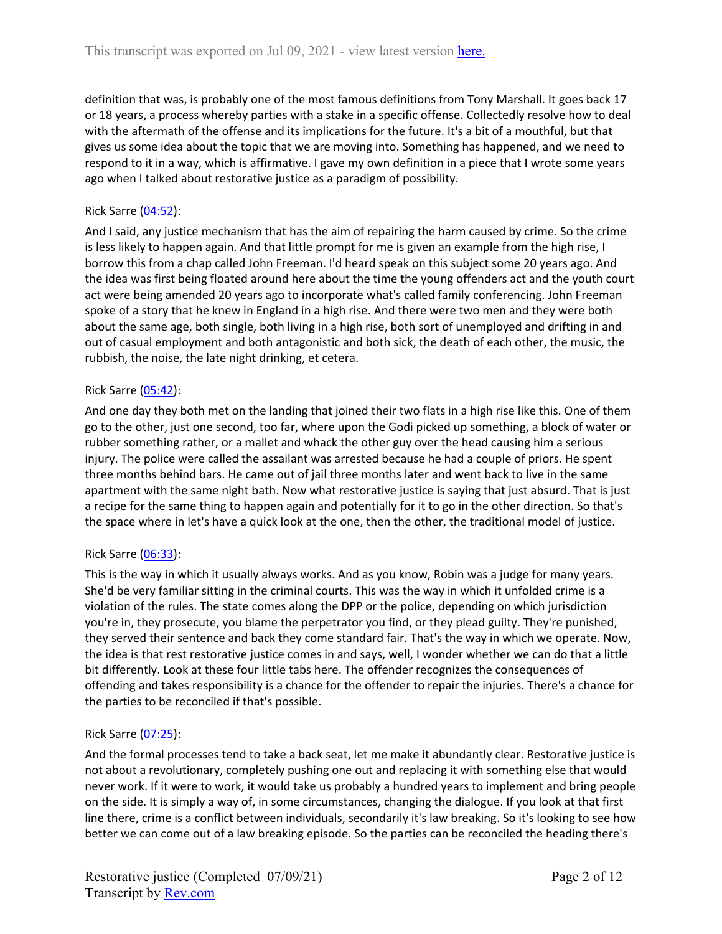definition that was, is probably one of the most famous definitions from Tony Marshall. It goes back 17 or 18 years, a process whereby parties with a stake in a specific offense. Collectedly resolve how to deal with the aftermath of the offense and its implications for the future. It's a bit of a mouthful, but that gives us some idea about the topic that we are moving into. Something has happened, and we need to respond to it in a way, which is affirmative. I gave my own definition in a piece that I wrote some years ago when I talked about restorative justice as a paradigm of possibility.

## Rick Sarre ([04:52](https://www.rev.com/transcript-editor/Edit?token=2dcQgM0C7cD2Wn5rvJc7hAg4mwTm_J00XgUspAhuEQmWZLU44IoJ6JxhPk3l0FvqEQILODQ1a2UBnW-A-ftgbx2NJxw&loadFrom=DocumentDeeplink&ts=292.98)):

And I said, any justice mechanism that has the aim of repairing the harm caused by crime. So the crime is less likely to happen again. And that little prompt for me is given an example from the high rise, I borrow this from a chap called John Freeman. I'd heard speak on this subject some 20 years ago. And the idea was first being floated around here about the time the young offenders act and the youth court act were being amended 20 years ago to incorporate what's called family conferencing. John Freeman spoke of a story that he knew in England in a high rise. And there were two men and they were both about the same age, both single, both living in a high rise, both sort of unemployed and drifting in and out of casual employment and both antagonistic and both sick, the death of each other, the music, the rubbish, the noise, the late night drinking, et cetera.

#### Rick Sarre ([05:42](https://www.rev.com/transcript-editor/Edit?token=RWrGSEx463ItABCTwZQg9d7XHw8r-GyiQHOzK-zjUHw1MuO0v6gNmn615QK2eS_GJ6R5OQ2pEMNB3z0ggmM6CZ2Wctk&loadFrom=DocumentDeeplink&ts=342.12)):

And one day they both met on the landing that joined their two flats in a high rise like this. One of them go to the other, just one second, too far, where upon the Godi picked up something, a block of water or rubber something rather, or a mallet and whack the other guy over the head causing him a serious injury. The police were called the assailant was arrested because he had a couple of priors. He spent three months behind bars. He came out of jail three months later and went back to live in the same apartment with the same night bath. Now what restorative justice is saying that just absurd. That is just a recipe for the same thing to happen again and potentially for it to go in the other direction. So that's the space where in let's have a quick look at the one, then the other, the traditional model of justice.

#### Rick Sarre ([06:33](https://www.rev.com/transcript-editor/Edit?token=OC-5NEXs9E3oHPBeeg7p1-FozDQOv3FxYu6JT_KI2iXbNd-UlPICQWt-Mh-6rkJSiDvEfoY181ssGljqYLXLhYPv2iQ&loadFrom=DocumentDeeplink&ts=393.35)):

This is the way in which it usually always works. And as you know, Robin was a judge for many years. She'd be very familiar sitting in the criminal courts. This was the way in which it unfolded crime is a violation of the rules. The state comes along the DPP or the police, depending on which jurisdiction you're in, they prosecute, you blame the perpetrator you find, or they plead guilty. They're punished, they served their sentence and back they come standard fair. That's the way in which we operate. Now, the idea is that rest restorative justice comes in and says, well, I wonder whether we can do that a little bit differently. Look at these four little tabs here. The offender recognizes the consequences of offending and takes responsibility is a chance for the offender to repair the injuries. There's a chance for the parties to be reconciled if that's possible.

#### Rick Sarre ([07:25](https://www.rev.com/transcript-editor/Edit?token=bUi5-Gq6zCOG0faRDIOe2bU2qFQucrKJWY9qF8q_iMytxs5jKyMrU7EQpKbu3ALu9H90CuKPPReNoLFq1GjVWR9l0ks&loadFrom=DocumentDeeplink&ts=445.55)):

And the formal processes tend to take a back seat, let me make it abundantly clear. Restorative justice is not about a revolutionary, completely pushing one out and replacing it with something else that would never work. If it were to work, it would take us probably a hundred years to implement and bring people on the side. It is simply a way of, in some circumstances, changing the dialogue. If you look at that first line there, crime is a conflict between individuals, secondarily it's law breaking. So it's looking to see how better we can come out of a law breaking episode. So the parties can be reconciled the heading there's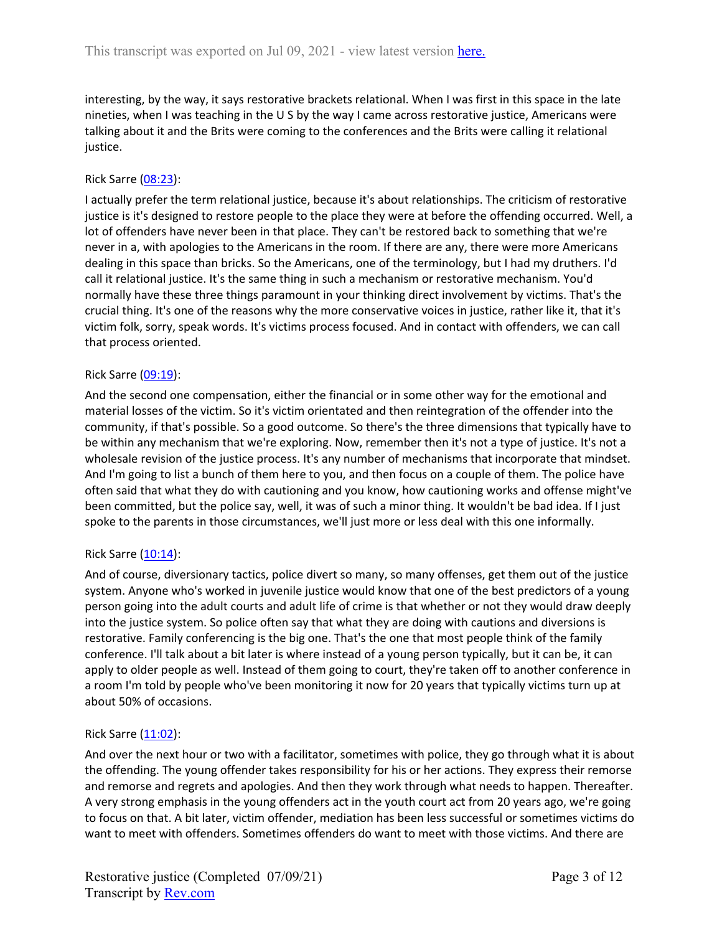interesting, by the way, it says restorative brackets relational. When I was first in this space in the late nineties, when I was teaching in the U S by the way I came across restorative justice, Americans were talking about it and the Brits were coming to the conferences and the Brits were calling it relational justice.

#### Rick Sarre ([08:23](https://www.rev.com/transcript-editor/Edit?token=WGd5rvqxm8aknC_ae5FGOfMCi-dk-K4psqrC47ZqhWXNrvHC5bcFRjWxUIiNH2hKEd_a-IjGghA_NKv7-f6EqceNIlg&loadFrom=DocumentDeeplink&ts=503)):

I actually prefer the term relational justice, because it's about relationships. The criticism of restorative justice is it's designed to restore people to the place they were at before the offending occurred. Well, a lot of offenders have never been in that place. They can't be restored back to something that we're never in a, with apologies to the Americans in the room. If there are any, there were more Americans dealing in this space than bricks. So the Americans, one of the terminology, but I had my druthers. I'd call it relational justice. It's the same thing in such a mechanism or restorative mechanism. You'd normally have these three things paramount in your thinking direct involvement by victims. That's the crucial thing. It's one of the reasons why the more conservative voices in justice, rather like it, that it's victim folk, sorry, speak words. It's victims process focused. And in contact with offenders, we can call that process oriented.

#### Rick Sarre ([09:19](https://www.rev.com/transcript-editor/Edit?token=VXupb_RxXs_fX1I6boRdSZPUlowvCyrULwzIxBwQhza8kh7UdaNLLN_mwDZLV5ZwbktMy3dk8miRc1GAyhB_0MskZpc&loadFrom=DocumentDeeplink&ts=559.74)):

And the second one compensation, either the financial or in some other way for the emotional and material losses of the victim. So it's victim orientated and then reintegration of the offender into the community, if that's possible. So a good outcome. So there's the three dimensions that typically have to be within any mechanism that we're exploring. Now, remember then it's not a type of justice. It's not a wholesale revision of the justice process. It's any number of mechanisms that incorporate that mindset. And I'm going to list a bunch of them here to you, and then focus on a couple of them. The police have often said that what they do with cautioning and you know, how cautioning works and offense might've been committed, but the police say, well, it was of such a minor thing. It wouldn't be bad idea. If I just spoke to the parents in those circumstances, we'll just more or less deal with this one informally.

#### Rick Sarre ([10:14](https://www.rev.com/transcript-editor/Edit?token=G8X8xNtv3pavXNJkc9s8DGX0gv2zdVjmL3ueja6qFqzLViGc7UzOZmo3Zc55K5vnF5dx7-B96czjd05NubVCmfgF9nI&loadFrom=DocumentDeeplink&ts=614.73)):

And of course, diversionary tactics, police divert so many, so many offenses, get them out of the justice system. Anyone who's worked in juvenile justice would know that one of the best predictors of a young person going into the adult courts and adult life of crime is that whether or not they would draw deeply into the justice system. So police often say that what they are doing with cautions and diversions is restorative. Family conferencing is the big one. That's the one that most people think of the family conference. I'll talk about a bit later is where instead of a young person typically, but it can be, it can apply to older people as well. Instead of them going to court, they're taken off to another conference in a room I'm told by people who've been monitoring it now for 20 years that typically victims turn up at about 50% of occasions.

#### Rick Sarre ([11:02](https://www.rev.com/transcript-editor/Edit?token=Hh6FNZ0jBQP17gBjZTHUTphkycNExYKdclplz2686zwDK0vB-npxwRtV76kQGw3nmUekW9Uhjishqv23MSif5g7sN5Y&loadFrom=DocumentDeeplink&ts=662.94)):

And over the next hour or two with a facilitator, sometimes with police, they go through what it is about the offending. The young offender takes responsibility for his or her actions. They express their remorse and remorse and regrets and apologies. And then they work through what needs to happen. Thereafter. A very strong emphasis in the young offenders act in the youth court act from 20 years ago, we're going to focus on that. A bit later, victim offender, mediation has been less successful or sometimes victims do want to meet with offenders. Sometimes offenders do want to meet with those victims. And there are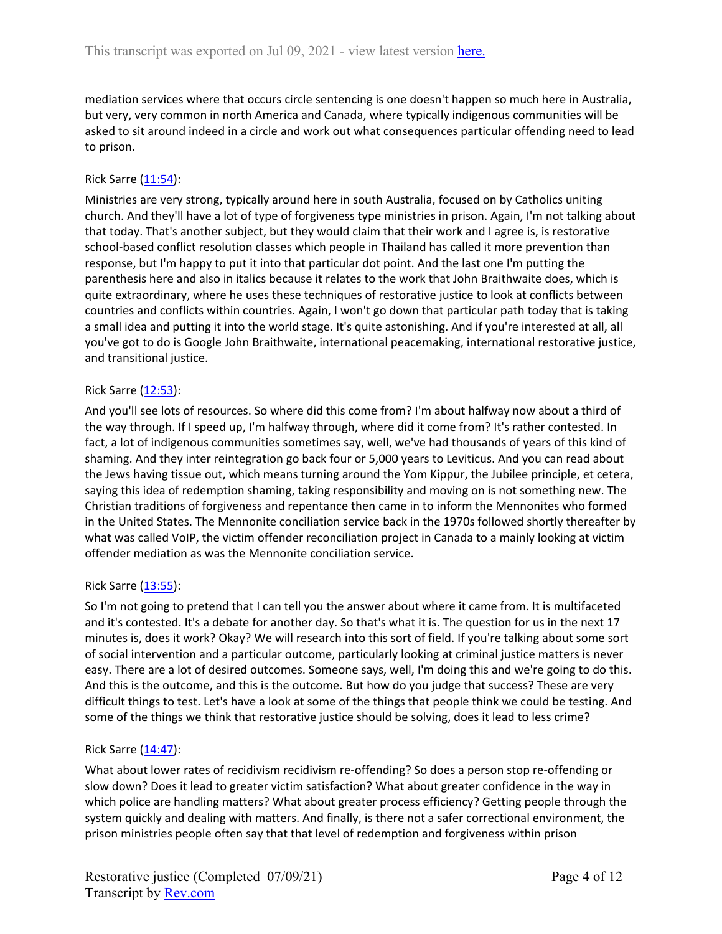mediation services where that occurs circle sentencing is one doesn't happen so much here in Australia, but very, very common in north America and Canada, where typically indigenous communities will be asked to sit around indeed in a circle and work out what consequences particular offending need to lead to prison.

### Rick Sarre ([11:54](https://www.rev.com/transcript-editor/Edit?token=WWDi9JWWzQmmcrG_1LS2Ji37s-LdWyOGcre6xfdGZe31CqnT9dDVBJybtfIPXdwD4wwxnRzQRsJZ2s9IOWP-uwRI1qw&loadFrom=DocumentDeeplink&ts=714.88)):

Ministries are very strong, typically around here in south Australia, focused on by Catholics uniting church. And they'll have a lot of type of forgiveness type ministries in prison. Again, I'm not talking about that today. That's another subject, but they would claim that their work and I agree is, is restorative school-based conflict resolution classes which people in Thailand has called it more prevention than response, but I'm happy to put it into that particular dot point. And the last one I'm putting the parenthesis here and also in italics because it relates to the work that John Braithwaite does, which is quite extraordinary, where he uses these techniques of restorative justice to look at conflicts between countries and conflicts within countries. Again, I won't go down that particular path today that is taking a small idea and putting it into the world stage. It's quite astonishing. And if you're interested at all, all you've got to do is Google John Braithwaite, international peacemaking, international restorative justice, and transitional justice.

## Rick Sarre ([12:53](https://www.rev.com/transcript-editor/Edit?token=PJa0fs8SX3aXhKcBtBfvFqAUZGFR0yAlEGKq8ARmHAPXWAQyBGsUWAiZOJEFmlUH5Cxgy5XfEDrs659e85gFCmcZBrs&loadFrom=DocumentDeeplink&ts=773.86)):

And you'll see lots of resources. So where did this come from? I'm about halfway now about a third of the way through. If I speed up, I'm halfway through, where did it come from? It's rather contested. In fact, a lot of indigenous communities sometimes say, well, we've had thousands of years of this kind of shaming. And they inter reintegration go back four or 5,000 years to Leviticus. And you can read about the Jews having tissue out, which means turning around the Yom Kippur, the Jubilee principle, et cetera, saying this idea of redemption shaming, taking responsibility and moving on is not something new. The Christian traditions of forgiveness and repentance then came in to inform the Mennonites who formed in the United States. The Mennonite conciliation service back in the 1970s followed shortly thereafter by what was called VoIP, the victim offender reconciliation project in Canada to a mainly looking at victim offender mediation as was the Mennonite conciliation service.

#### Rick Sarre ([13:55](https://www.rev.com/transcript-editor/Edit?token=JLQsOMvkok2iodH2fHzjy4cnosyC4291V_hqQcRxkEfD6PLoQnbzOiPVllG6RNS-uVFuTN_C1HYws6CvAKUop1-VN4M&loadFrom=DocumentDeeplink&ts=835.3)):

So I'm not going to pretend that I can tell you the answer about where it came from. It is multifaceted and it's contested. It's a debate for another day. So that's what it is. The question for us in the next 17 minutes is, does it work? Okay? We will research into this sort of field. If you're talking about some sort of social intervention and a particular outcome, particularly looking at criminal justice matters is never easy. There are a lot of desired outcomes. Someone says, well, I'm doing this and we're going to do this. And this is the outcome, and this is the outcome. But how do you judge that success? These are very difficult things to test. Let's have a look at some of the things that people think we could be testing. And some of the things we think that restorative justice should be solving, does it lead to less crime?

#### Rick Sarre ([14:47](https://www.rev.com/transcript-editor/Edit?token=J-xXj2RtbhffooZ-gJ6rTWuV_YhchFT8hoejJ3kUfrwpViqVKgtxD6b_QscxnTViU15q5fGSpapgbqA2mJM8VJkmNm0&loadFrom=DocumentDeeplink&ts=887.92)):

What about lower rates of recidivism recidivism re-offending? So does a person stop re-offending or slow down? Does it lead to greater victim satisfaction? What about greater confidence in the way in which police are handling matters? What about greater process efficiency? Getting people through the system quickly and dealing with matters. And finally, is there not a safer correctional environment, the prison ministries people often say that that level of redemption and forgiveness within prison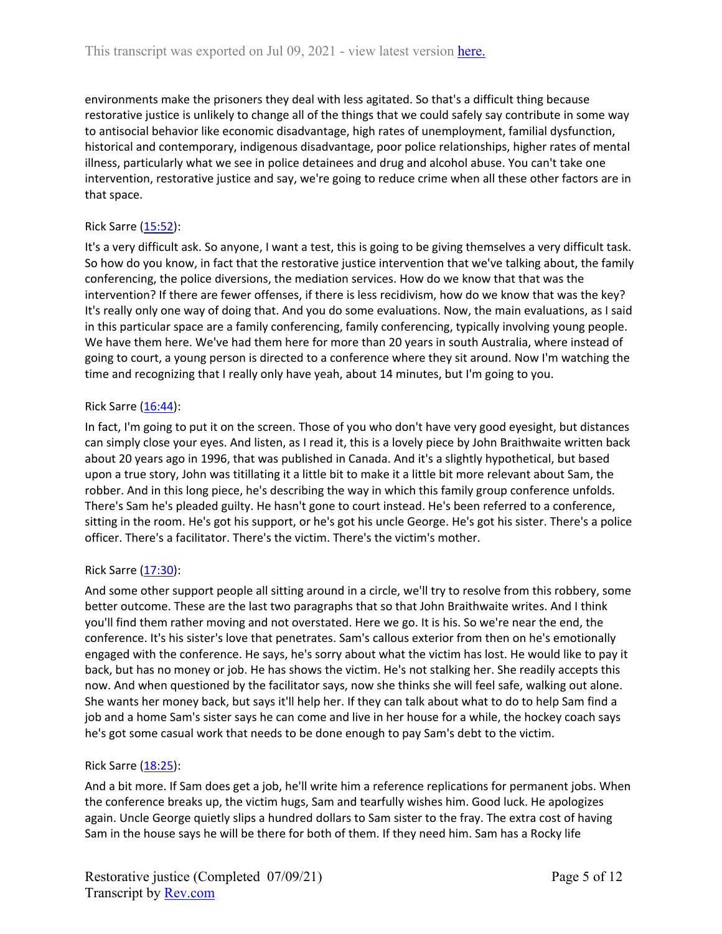environments make the prisoners they deal with less agitated. So that's a difficult thing because restorative justice is unlikely to change all of the things that we could safely say contribute in some way to antisocial behavior like economic disadvantage, high rates of unemployment, familial dysfunction, historical and contemporary, indigenous disadvantage, poor police relationships, higher rates of mental illness, particularly what we see in police detainees and drug and alcohol abuse. You can't take one intervention, restorative justice and say, we're going to reduce crime when all these other factors are in that space.

## Rick Sarre ([15:52](https://www.rev.com/transcript-editor/Edit?token=Rj0NS8qifSQxmJxf06O9lAoLzgOLNzkEYhr-vdPQejymO1QQbFndVh98jvQwyN8TwN7eiuc-xR_kjlbe8FebdG1J6oU&loadFrom=DocumentDeeplink&ts=952.66)):

It's a very difficult ask. So anyone, I want a test, this is going to be giving themselves a very difficult task. So how do you know, in fact that the restorative justice intervention that we've talking about, the family conferencing, the police diversions, the mediation services. How do we know that that was the intervention? If there are fewer offenses, if there is less recidivism, how do we know that was the key? It's really only one way of doing that. And you do some evaluations. Now, the main evaluations, as I said in this particular space are a family conferencing, family conferencing, typically involving young people. We have them here. We've had them here for more than 20 years in south Australia, where instead of going to court, a young person is directed to a conference where they sit around. Now I'm watching the time and recognizing that I really only have yeah, about 14 minutes, but I'm going to you.

## Rick Sarre  $(16:44)$  $(16:44)$  $(16:44)$ :

In fact, I'm going to put it on the screen. Those of you who don't have very good eyesight, but distances can simply close your eyes. And listen, as I read it, this is a lovely piece by John Braithwaite written back about 20 years ago in 1996, that was published in Canada. And it's a slightly hypothetical, but based upon a true story, John was titillating it a little bit to make it a little bit more relevant about Sam, the robber. And in this long piece, he's describing the way in which this family group conference unfolds. There's Sam he's pleaded guilty. He hasn't gone to court instead. He's been referred to a conference, sitting in the room. He's got his support, or he's got his uncle George. He's got his sister. There's a police officer. There's a facilitator. There's the victim. There's the victim's mother.

#### Rick Sarre ([17:30](https://www.rev.com/transcript-editor/Edit?token=zBbh7vd8aLi04IcbAeTY2HLUTUj0wdvH9qNrgjrI_ERC1djQlXcI3jTH59DFlH5piQjip2bEITWaNj8pVaY_eu_Oa8I&loadFrom=DocumentDeeplink&ts=1050.07)):

And some other support people all sitting around in a circle, we'll try to resolve from this robbery, some better outcome. These are the last two paragraphs that so that John Braithwaite writes. And I think you'll find them rather moving and not overstated. Here we go. It is his. So we're near the end, the conference. It's his sister's love that penetrates. Sam's callous exterior from then on he's emotionally engaged with the conference. He says, he's sorry about what the victim has lost. He would like to pay it back, but has no money or job. He has shows the victim. He's not stalking her. She readily accepts this now. And when questioned by the facilitator says, now she thinks she will feel safe, walking out alone. She wants her money back, but says it'll help her. If they can talk about what to do to help Sam find a job and a home Sam's sister says he can come and live in her house for a while, the hockey coach says he's got some casual work that needs to be done enough to pay Sam's debt to the victim.

#### Rick Sarre ([18:25](https://www.rev.com/transcript-editor/Edit?token=36pN4xVv_Ehcz00Sir29GnqDueFL7aNBOyv3ee27FtnS0IQy3orghGJGRqF_G4akoEhINpXfViJtrECObOpz3FeJiWE&loadFrom=DocumentDeeplink&ts=1105.05)):

And a bit more. If Sam does get a job, he'll write him a reference replications for permanent jobs. When the conference breaks up, the victim hugs, Sam and tearfully wishes him. Good luck. He apologizes again. Uncle George quietly slips a hundred dollars to Sam sister to the fray. The extra cost of having Sam in the house says he will be there for both of them. If they need him. Sam has a Rocky life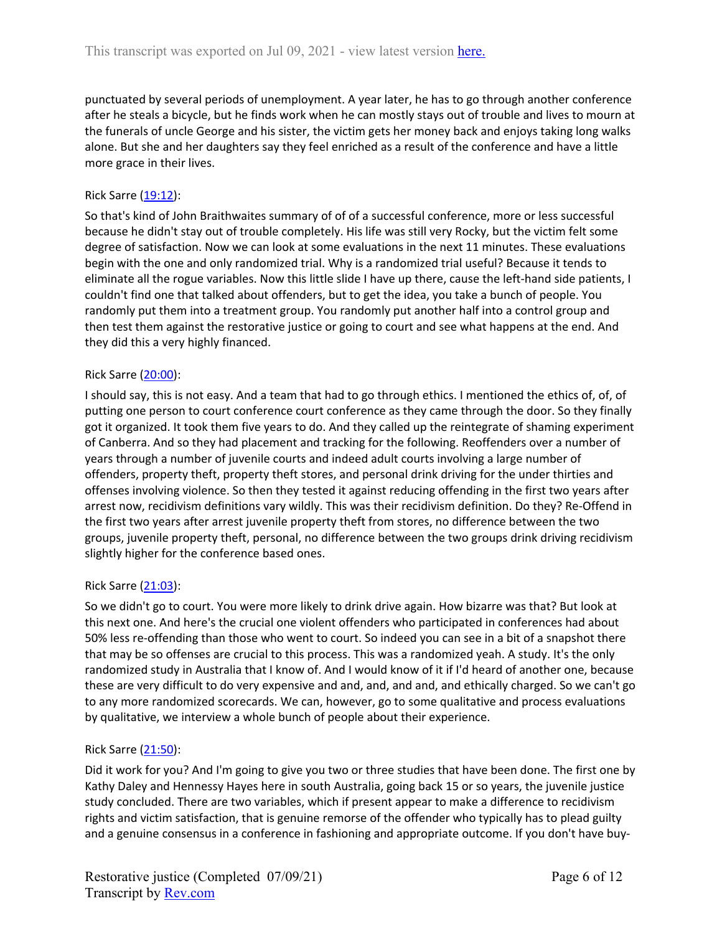punctuated by several periods of unemployment. A year later, he has to go through another conference after he steals a bicycle, but he finds work when he can mostly stays out of trouble and lives to mourn at the funerals of uncle George and his sister, the victim gets her money back and enjoys taking long walks alone. But she and her daughters say they feel enriched as a result of the conference and have a little more grace in their lives.

## Rick Sarre ([19:12](https://www.rev.com/transcript-editor/Edit?token=JmiX1I-J3V_fwASBP8oZoBUIZtldbrD5-3l048MmxO0V-LkFXtGo_xqoHNWRby1ld48mvVgUAc4LFw6ILelYKIJM6is&loadFrom=DocumentDeeplink&ts=1152.54)):

So that's kind of John Braithwaites summary of of of a successful conference, more or less successful because he didn't stay out of trouble completely. His life was still very Rocky, but the victim felt some degree of satisfaction. Now we can look at some evaluations in the next 11 minutes. These evaluations begin with the one and only randomized trial. Why is a randomized trial useful? Because it tends to eliminate all the rogue variables. Now this little slide I have up there, cause the left-hand side patients, I couldn't find one that talked about offenders, but to get the idea, you take a bunch of people. You randomly put them into a treatment group. You randomly put another half into a control group and then test them against the restorative justice or going to court and see what happens at the end. And they did this a very highly financed.

## Rick Sarre ([20:00](https://www.rev.com/transcript-editor/Edit?token=Q8oCux6YenqasPdhbxX7dPNUbXGOVThIhYiP28G50-Cj2LkqxjbCQXQwVawJ8sHxI_F-fMecbaXQDI0JO3PBTYgsndE&loadFrom=DocumentDeeplink&ts=1200.93)):

I should say, this is not easy. And a team that had to go through ethics. I mentioned the ethics of, of, of putting one person to court conference court conference as they came through the door. So they finally got it organized. It took them five years to do. And they called up the reintegrate of shaming experiment of Canberra. And so they had placement and tracking for the following. Reoffenders over a number of years through a number of juvenile courts and indeed adult courts involving a large number of offenders, property theft, property theft stores, and personal drink driving for the under thirties and offenses involving violence. So then they tested it against reducing offending in the first two years after arrest now, recidivism definitions vary wildly. This was their recidivism definition. Do they? Re-Offend in the first two years after arrest juvenile property theft from stores, no difference between the two groups, juvenile property theft, personal, no difference between the two groups drink driving recidivism slightly higher for the conference based ones.

#### Rick Sarre ([21:03](https://www.rev.com/transcript-editor/Edit?token=UaxxT6vWzocxPR7wp5AseUeTIjT2yTBSSlYVl8PVYDUPDMnketobGBnmJ3ldhqvywfD4kVv8Ylx7opsKpk1T0fhAnVs&loadFrom=DocumentDeeplink&ts=1263.7)):

So we didn't go to court. You were more likely to drink drive again. How bizarre was that? But look at this next one. And here's the crucial one violent offenders who participated in conferences had about 50% less re-offending than those who went to court. So indeed you can see in a bit of a snapshot there that may be so offenses are crucial to this process. This was a randomized yeah. A study. It's the only randomized study in Australia that I know of. And I would know of it if I'd heard of another one, because these are very difficult to do very expensive and and, and, and and, and ethically charged. So we can't go to any more randomized scorecards. We can, however, go to some qualitative and process evaluations by qualitative, we interview a whole bunch of people about their experience.

#### Rick Sarre ([21:50](https://www.rev.com/transcript-editor/Edit?token=kz0xajp0qFwcVCvBAMcQbgShrFuju6buQb9C-6HKO_c1ZBZj5qzGyG_oCWG8UGGX_-2J2lMCKmslrifJN3HnOPxh3Ag&loadFrom=DocumentDeeplink&ts=1310.82)):

Did it work for you? And I'm going to give you two or three studies that have been done. The first one by Kathy Daley and Hennessy Hayes here in south Australia, going back 15 or so years, the juvenile justice study concluded. There are two variables, which if present appear to make a difference to recidivism rights and victim satisfaction, that is genuine remorse of the offender who typically has to plead guilty and a genuine consensus in a conference in fashioning and appropriate outcome. If you don't have buy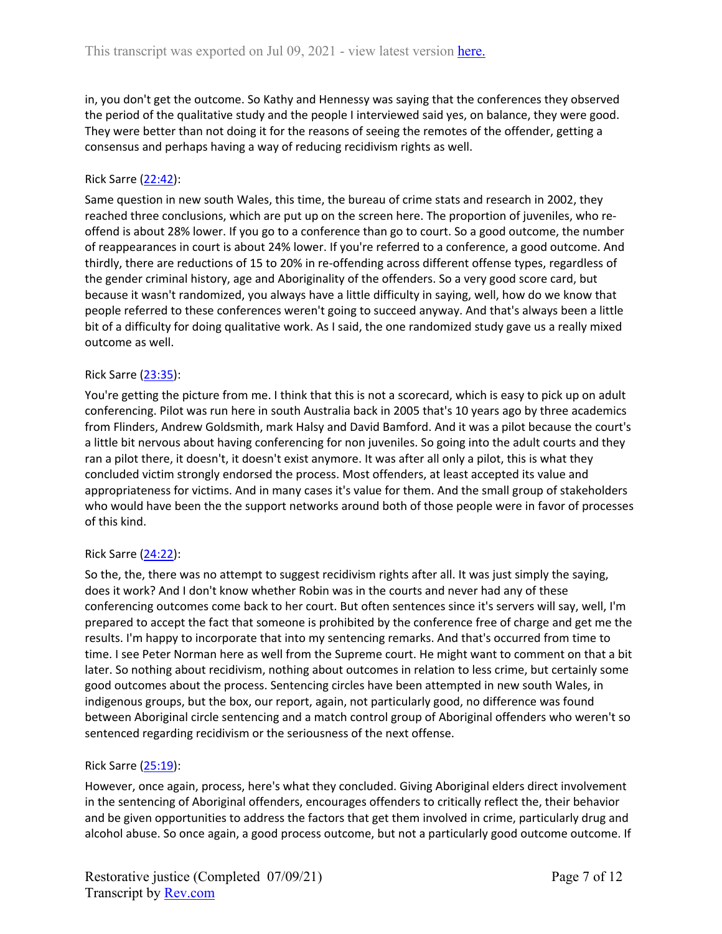in, you don't get the outcome. So Kathy and Hennessy was saying that the conferences they observed the period of the qualitative study and the people I interviewed said yes, on balance, they were good. They were better than not doing it for the reasons of seeing the remotes of the offender, getting a consensus and perhaps having a way of reducing recidivism rights as well.

## Rick Sarre ([22:42](https://www.rev.com/transcript-editor/Edit?token=U8PdAKHn3YJidj_VC-ZR0iJFVTc0fneSruwNwmgeTZC0aEYdKchqdEnvQQB_L3_eXvz4A1KyOUeXlXOaIN0RWLrI8SM&loadFrom=DocumentDeeplink&ts=1362.75)):

Same question in new south Wales, this time, the bureau of crime stats and research in 2002, they reached three conclusions, which are put up on the screen here. The proportion of juveniles, who reoffend is about 28% lower. If you go to a conference than go to court. So a good outcome, the number of reappearances in court is about 24% lower. If you're referred to a conference, a good outcome. And thirdly, there are reductions of 15 to 20% in re-offending across different offense types, regardless of the gender criminal history, age and Aboriginality of the offenders. So a very good score card, but because it wasn't randomized, you always have a little difficulty in saying, well, how do we know that people referred to these conferences weren't going to succeed anyway. And that's always been a little bit of a difficulty for doing qualitative work. As I said, the one randomized study gave us a really mixed outcome as well.

#### Rick Sarre ([23:35](https://www.rev.com/transcript-editor/Edit?token=_WTSUIwmVkNyuG1jHgV8b1A6BHkz5TOHc6eHK7JJHm9k8CX5kqWYl0aR4uyP12zAkbV-nD8NIKeWYTSt3wG_SYl9A-E&loadFrom=DocumentDeeplink&ts=1415.97)):

You're getting the picture from me. I think that this is not a scorecard, which is easy to pick up on adult conferencing. Pilot was run here in south Australia back in 2005 that's 10 years ago by three academics from Flinders, Andrew Goldsmith, mark Halsy and David Bamford. And it was a pilot because the court's a little bit nervous about having conferencing for non juveniles. So going into the adult courts and they ran a pilot there, it doesn't, it doesn't exist anymore. It was after all only a pilot, this is what they concluded victim strongly endorsed the process. Most offenders, at least accepted its value and appropriateness for victims. And in many cases it's value for them. And the small group of stakeholders who would have been the the support networks around both of those people were in favor of processes of this kind.

#### Rick Sarre ([24:22](https://www.rev.com/transcript-editor/Edit?token=x6rfAITigIjQSi315aXYwHizLmgJuL8Eo_69MIjuQmHgFI_vNe1XilEOVtwfcLn4lhoJrz0LHmvPAjWN98US-9V_mvQ&loadFrom=DocumentDeeplink&ts=1462.22)):

So the, the, there was no attempt to suggest recidivism rights after all. It was just simply the saying, does it work? And I don't know whether Robin was in the courts and never had any of these conferencing outcomes come back to her court. But often sentences since it's servers will say, well, I'm prepared to accept the fact that someone is prohibited by the conference free of charge and get me the results. I'm happy to incorporate that into my sentencing remarks. And that's occurred from time to time. I see Peter Norman here as well from the Supreme court. He might want to comment on that a bit later. So nothing about recidivism, nothing about outcomes in relation to less crime, but certainly some good outcomes about the process. Sentencing circles have been attempted in new south Wales, in indigenous groups, but the box, our report, again, not particularly good, no difference was found between Aboriginal circle sentencing and a match control group of Aboriginal offenders who weren't so sentenced regarding recidivism or the seriousness of the next offense.

#### Rick Sarre ([25:19](https://www.rev.com/transcript-editor/Edit?token=E6vIwnLAZ9yNgWha4bKMMsWTMz5pXDL5_4YnNRZsqFvnNYSUIpp9VlLtpCbCndRHgOwa7ZGKcB8Qzn-TNBCoicIqMN0&loadFrom=DocumentDeeplink&ts=1519.04)):

However, once again, process, here's what they concluded. Giving Aboriginal elders direct involvement in the sentencing of Aboriginal offenders, encourages offenders to critically reflect the, their behavior and be given opportunities to address the factors that get them involved in crime, particularly drug and alcohol abuse. So once again, a good process outcome, but not a particularly good outcome outcome. If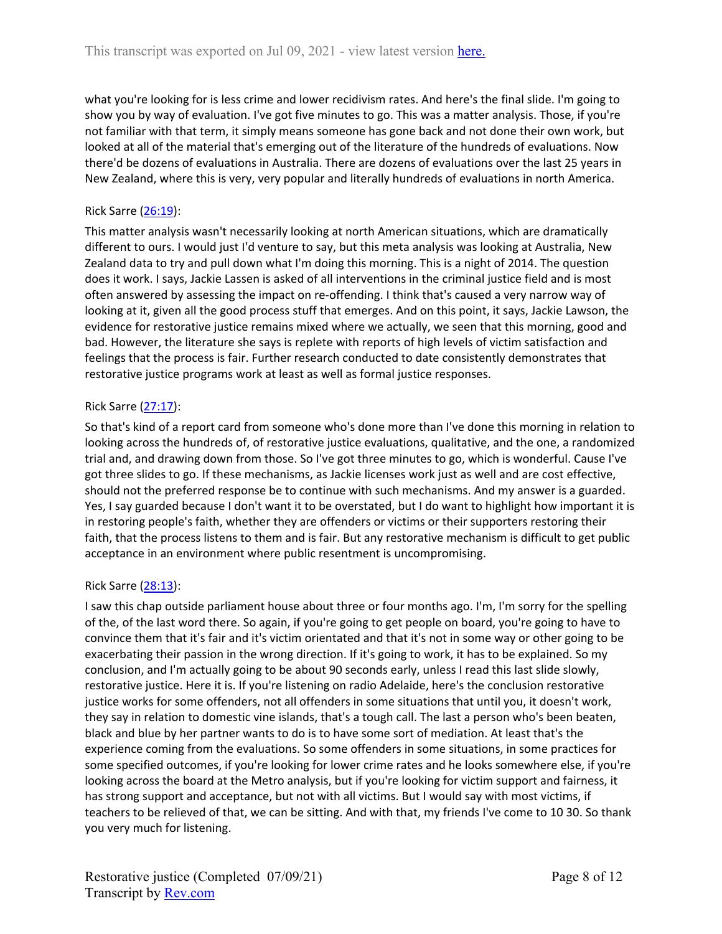what you're looking for is less crime and lower recidivism rates. And here's the final slide. I'm going to show you by way of evaluation. I've got five minutes to go. This was a matter analysis. Those, if you're not familiar with that term, it simply means someone has gone back and not done their own work, but looked at all of the material that's emerging out of the literature of the hundreds of evaluations. Now there'd be dozens of evaluations in Australia. There are dozens of evaluations over the last 25 years in New Zealand, where this is very, very popular and literally hundreds of evaluations in north America.

# Rick Sarre ([26:19](https://www.rev.com/transcript-editor/Edit?token=cC47P0yp9pn4dnjTUawFlJ0ke0MjLYkaVPnI5eAXoB0R7uGxNg7CO2ld_aiiwp0wIyBOVRdj1qcGQKE-8lss1T8rBGw&loadFrom=DocumentDeeplink&ts=1579.19)):

This matter analysis wasn't necessarily looking at north American situations, which are dramatically different to ours. I would just I'd venture to say, but this meta analysis was looking at Australia, New Zealand data to try and pull down what I'm doing this morning. This is a night of 2014. The question does it work. I says, Jackie Lassen is asked of all interventions in the criminal justice field and is most often answered by assessing the impact on re-offending. I think that's caused a very narrow way of looking at it, given all the good process stuff that emerges. And on this point, it says, Jackie Lawson, the evidence for restorative justice remains mixed where we actually, we seen that this morning, good and bad. However, the literature she says is replete with reports of high levels of victim satisfaction and feelings that the process is fair. Further research conducted to date consistently demonstrates that restorative justice programs work at least as well as formal justice responses.

# Rick Sarre ([27:17](https://www.rev.com/transcript-editor/Edit?token=muqEMnf51VLVJT0ImgO8LDhRTdfbOG1T6TuAyFxCiSPW9q4mRBrVAQrDL-GdJkyrpRKsv_fcyuoyMh2JBR021W8qssI&loadFrom=DocumentDeeplink&ts=1637.64)):

So that's kind of a report card from someone who's done more than I've done this morning in relation to looking across the hundreds of, of restorative justice evaluations, qualitative, and the one, a randomized trial and, and drawing down from those. So I've got three minutes to go, which is wonderful. Cause I've got three slides to go. If these mechanisms, as Jackie licenses work just as well and are cost effective, should not the preferred response be to continue with such mechanisms. And my answer is a guarded. Yes, I say guarded because I don't want it to be overstated, but I do want to highlight how important it is in restoring people's faith, whether they are offenders or victims or their supporters restoring their faith, that the process listens to them and is fair. But any restorative mechanism is difficult to get public acceptance in an environment where public resentment is uncompromising.

## Rick Sarre ([28:13](https://www.rev.com/transcript-editor/Edit?token=H1kmixP7_H-EKvGH6jMspyTJyK2M6aTcs8YYXdQxEOTnHCl8yj89Gev-jiaH_YI4IMbEYSdmyypwInxwQoSlIeyBJaY&loadFrom=DocumentDeeplink&ts=1693.8)):

I saw this chap outside parliament house about three or four months ago. I'm, I'm sorry for the spelling of the, of the last word there. So again, if you're going to get people on board, you're going to have to convince them that it's fair and it's victim orientated and that it's not in some way or other going to be exacerbating their passion in the wrong direction. If it's going to work, it has to be explained. So my conclusion, and I'm actually going to be about 90 seconds early, unless I read this last slide slowly, restorative justice. Here it is. If you're listening on radio Adelaide, here's the conclusion restorative justice works for some offenders, not all offenders in some situations that until you, it doesn't work, they say in relation to domestic vine islands, that's a tough call. The last a person who's been beaten, black and blue by her partner wants to do is to have some sort of mediation. At least that's the experience coming from the evaluations. So some offenders in some situations, in some practices for some specified outcomes, if you're looking for lower crime rates and he looks somewhere else, if you're looking across the board at the Metro analysis, but if you're looking for victim support and fairness, it has strong support and acceptance, but not with all victims. But I would say with most victims, if teachers to be relieved of that, we can be sitting. And with that, my friends I've come to 10 30. So thank you very much for listening.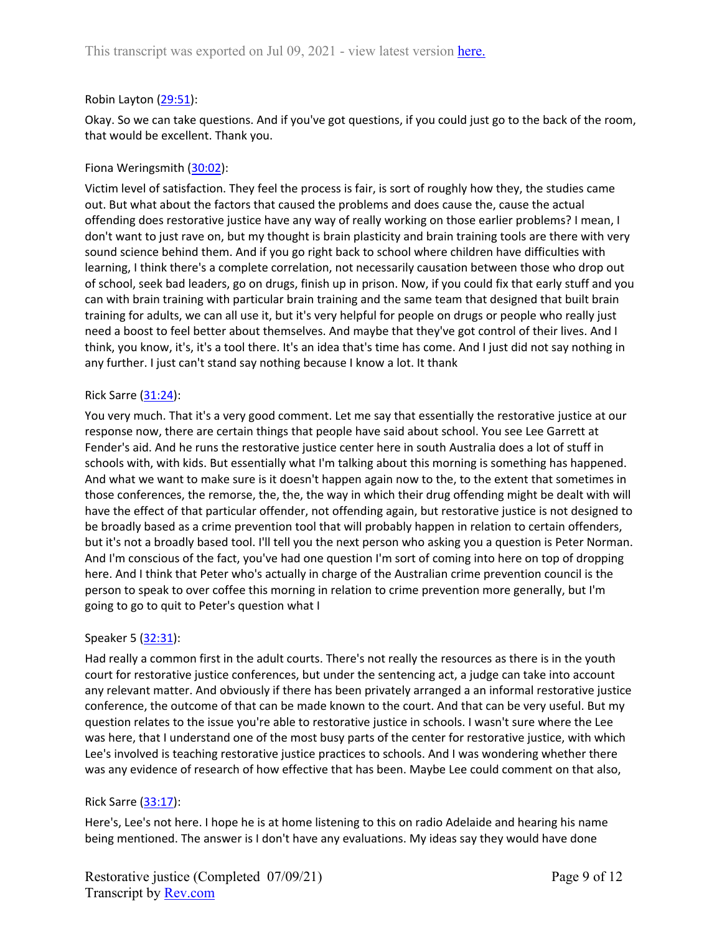### Robin Layton [\(29:51\)](https://www.rev.com/transcript-editor/Edit?token=Spe9soBHR5JZ3EnjDSxpW1oYSXm786GKEiKLQC75ut55KdLMiQBFM4MtwFY8AbKArA0f6LYj74U-UepdUY-ctYHYAGw&loadFrom=DocumentDeeplink&ts=1791.3):

Okay. So we can take questions. And if you've got questions, if you could just go to the back of the room, that would be excellent. Thank you.

## Fiona Weringsmith [\(30:02\)](https://www.rev.com/transcript-editor/Edit?token=pratAE4cWisGXea5tkn1CcvLL5HtAvM3Y3turHjuIZ1PqffWV6i70LKR_QWPQczLY0ko36LR5_iL5BpsMldHUTk97tk&loadFrom=DocumentDeeplink&ts=1802):

Victim level of satisfaction. They feel the process is fair, is sort of roughly how they, the studies came out. But what about the factors that caused the problems and does cause the, cause the actual offending does restorative justice have any way of really working on those earlier problems? I mean, I don't want to just rave on, but my thought is brain plasticity and brain training tools are there with very sound science behind them. And if you go right back to school where children have difficulties with learning, I think there's a complete correlation, not necessarily causation between those who drop out of school, seek bad leaders, go on drugs, finish up in prison. Now, if you could fix that early stuff and you can with brain training with particular brain training and the same team that designed that built brain training for adults, we can all use it, but it's very helpful for people on drugs or people who really just need a boost to feel better about themselves. And maybe that they've got control of their lives. And I think, you know, it's, it's a tool there. It's an idea that's time has come. And I just did not say nothing in any further. I just can't stand say nothing because I know a lot. It thank

#### Rick Sarre  $(31:24)$  $(31:24)$  $(31:24)$ :

You very much. That it's a very good comment. Let me say that essentially the restorative justice at our response now, there are certain things that people have said about school. You see Lee Garrett at Fender's aid. And he runs the restorative justice center here in south Australia does a lot of stuff in schools with, with kids. But essentially what I'm talking about this morning is something has happened. And what we want to make sure is it doesn't happen again now to the, to the extent that sometimes in those conferences, the remorse, the, the, the way in which their drug offending might be dealt with will have the effect of that particular offender, not offending again, but restorative justice is not designed to be broadly based as a crime prevention tool that will probably happen in relation to certain offenders, but it's not a broadly based tool. I'll tell you the next person who asking you a question is Peter Norman. And I'm conscious of the fact, you've had one question I'm sort of coming into here on top of dropping here. And I think that Peter who's actually in charge of the Australian crime prevention council is the person to speak to over coffee this morning in relation to crime prevention more generally, but I'm going to go to quit to Peter's question what I

#### Speaker 5 ([32:31](https://www.rev.com/transcript-editor/Edit?token=_Ol_Q16O3OdfB3H9JPHdhrMn-OUxdwf_QHnd7xfNo-6OIckEDFo4uk3o57TKmIzrnq000AHJPo7DPB2RyqnonSY8eRc&loadFrom=DocumentDeeplink&ts=1951.55)):

Had really a common first in the adult courts. There's not really the resources as there is in the youth court for restorative justice conferences, but under the sentencing act, a judge can take into account any relevant matter. And obviously if there has been privately arranged a an informal restorative justice conference, the outcome of that can be made known to the court. And that can be very useful. But my question relates to the issue you're able to restorative justice in schools. I wasn't sure where the Lee was here, that I understand one of the most busy parts of the center for restorative justice, with which Lee's involved is teaching restorative justice practices to schools. And I was wondering whether there was any evidence of research of how effective that has been. Maybe Lee could comment on that also,

#### Rick Sarre ([33:17](https://www.rev.com/transcript-editor/Edit?token=xriAaBJwkAOo4us49R1EWuubdBPxC-gS7rLuL1ZOZ-r7p2IsLrBvYiKEhER188ophaq1Lymz349Te1Iw7-W0FjN-xGg&loadFrom=DocumentDeeplink&ts=1997.99)):

Here's, Lee's not here. I hope he is at home listening to this on radio Adelaide and hearing his name being mentioned. The answer is I don't have any evaluations. My ideas say they would have done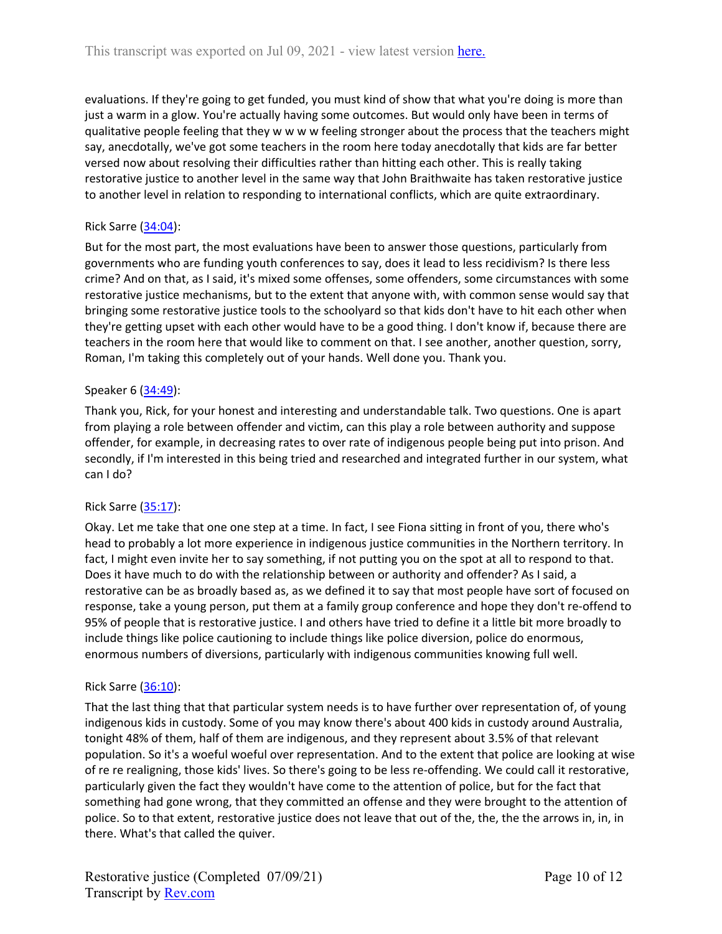evaluations. If they're going to get funded, you must kind of show that what you're doing is more than just a warm in a glow. You're actually having some outcomes. But would only have been in terms of qualitative people feeling that they w w w w feeling stronger about the process that the teachers might say, anecdotally, we've got some teachers in the room here today anecdotally that kids are far better versed now about resolving their difficulties rather than hitting each other. This is really taking restorative justice to another level in the same way that John Braithwaite has taken restorative justice to another level in relation to responding to international conflicts, which are quite extraordinary.

## Rick Sarre ([34:04](https://www.rev.com/transcript-editor/Edit?token=czytvynYtdUgTTw16X1cRraOXn1BwSHe3uF_Xn0micDZeFLMhn3DwmP_o8zLqd41Q8FN9PA16p0aUZ4S7E8v21U8SBo&loadFrom=DocumentDeeplink&ts=2044.94)):

But for the most part, the most evaluations have been to answer those questions, particularly from governments who are funding youth conferences to say, does it lead to less recidivism? Is there less crime? And on that, as I said, it's mixed some offenses, some offenders, some circumstances with some restorative justice mechanisms, but to the extent that anyone with, with common sense would say that bringing some restorative justice tools to the schoolyard so that kids don't have to hit each other when they're getting upset with each other would have to be a good thing. I don't know if, because there are teachers in the room here that would like to comment on that. I see another, another question, sorry, Roman, I'm taking this completely out of your hands. Well done you. Thank you.

#### Speaker 6 ([34:49](https://www.rev.com/transcript-editor/Edit?token=gXUjH69P3kY9ZkusMxZUKN64m5cXC1l-Hwm0us_zphp3kKkg2iD0Tgq7v7vZiMTpqFLNcBOGmTqJi5udA74aVaPNYTM&loadFrom=DocumentDeeplink&ts=2089.49)):

Thank you, Rick, for your honest and interesting and understandable talk. Two questions. One is apart from playing a role between offender and victim, can this play a role between authority and suppose offender, for example, in decreasing rates to over rate of indigenous people being put into prison. And secondly, if I'm interested in this being tried and researched and integrated further in our system, what can I do?

#### Rick Sarre ([35:17](https://www.rev.com/transcript-editor/Edit?token=s0I2i0-kbSXKSMksMC4CRteNqQBvxL9YfQ46FYtOJ2QrDr0PXWCGXY7NINJIC0e7y0UR92y7M2gwhDHZUfXNZ5ML-iw&loadFrom=DocumentDeeplink&ts=2117.99)):

Okay. Let me take that one one step at a time. In fact, I see Fiona sitting in front of you, there who's head to probably a lot more experience in indigenous justice communities in the Northern territory. In fact, I might even invite her to say something, if not putting you on the spot at all to respond to that. Does it have much to do with the relationship between or authority and offender? As I said, a restorative can be as broadly based as, as we defined it to say that most people have sort of focused on response, take a young person, put them at a family group conference and hope they don't re-offend to 95% of people that is restorative justice. I and others have tried to define it a little bit more broadly to include things like police cautioning to include things like police diversion, police do enormous, enormous numbers of diversions, particularly with indigenous communities knowing full well.

#### Rick Sarre ([36:10](https://www.rev.com/transcript-editor/Edit?token=786o52J0Lxw_eHNFadyoJWJTJGXx7kgKUw5CtFJNzTZfxcujSVlhYVitWznGLXmhjgOPaBzKiNcT5jk_NxaCCrugmQA&loadFrom=DocumentDeeplink&ts=2170.02)):

That the last thing that that particular system needs is to have further over representation of, of young indigenous kids in custody. Some of you may know there's about 400 kids in custody around Australia, tonight 48% of them, half of them are indigenous, and they represent about 3.5% of that relevant population. So it's a woeful woeful over representation. And to the extent that police are looking at wise of re re realigning, those kids' lives. So there's going to be less re-offending. We could call it restorative, particularly given the fact they wouldn't have come to the attention of police, but for the fact that something had gone wrong, that they committed an offense and they were brought to the attention of police. So to that extent, restorative justice does not leave that out of the, the, the the arrows in, in, in there. What's that called the quiver.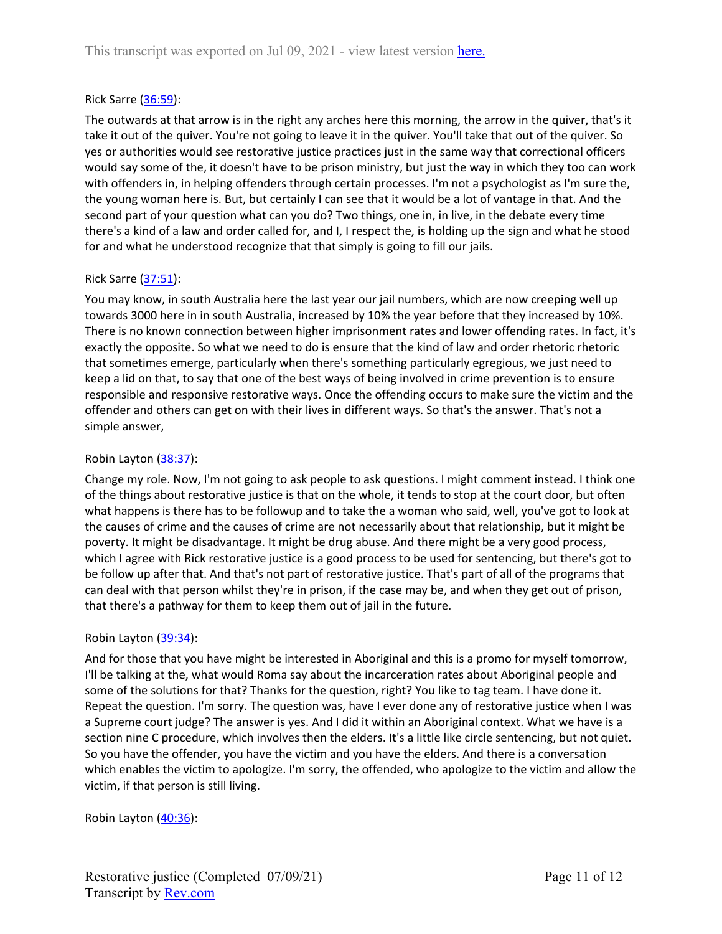#### Rick Sarre ([36:59](https://www.rev.com/transcript-editor/Edit?token=4vbYESG0oPreJv3XkYSVtam2_AX0WQ6XFbL1PZ5LRnj5GbEhGVRZ1YYXt29_V-cwob_HNVFi7Hmfl_RvY_4a5I4j4Go&loadFrom=DocumentDeeplink&ts=2219.72)):

The outwards at that arrow is in the right any arches here this morning, the arrow in the quiver, that's it take it out of the quiver. You're not going to leave it in the quiver. You'll take that out of the quiver. So yes or authorities would see restorative justice practices just in the same way that correctional officers would say some of the, it doesn't have to be prison ministry, but just the way in which they too can work with offenders in, in helping offenders through certain processes. I'm not a psychologist as I'm sure the, the young woman here is. But, but certainly I can see that it would be a lot of vantage in that. And the second part of your question what can you do? Two things, one in, in live, in the debate every time there's a kind of a law and order called for, and I, I respect the, is holding up the sign and what he stood for and what he understood recognize that that simply is going to fill our jails.

## Rick Sarre ([37:51](https://www.rev.com/transcript-editor/Edit?token=JcBdHCJ1b2AhMGweJBCAtaqra1NJskGxzmppx3Un4tafN9VXwFvcv8Gh_UY9nC_GSVU54-ufTUOTWP8QMgcJZ5y3z5I&loadFrom=DocumentDeeplink&ts=2271.02)):

You may know, in south Australia here the last year our jail numbers, which are now creeping well up towards 3000 here in in south Australia, increased by 10% the year before that they increased by 10%. There is no known connection between higher imprisonment rates and lower offending rates. In fact, it's exactly the opposite. So what we need to do is ensure that the kind of law and order rhetoric rhetoric that sometimes emerge, particularly when there's something particularly egregious, we just need to keep a lid on that, to say that one of the best ways of being involved in crime prevention is to ensure responsible and responsive restorative ways. Once the offending occurs to make sure the victim and the offender and others can get on with their lives in different ways. So that's the answer. That's not a simple answer,

## Robin Layton [\(38:37\)](https://www.rev.com/transcript-editor/Edit?token=N-0oh44PQrkALI-o52j7HikQNeWGo2fhkGqr2Clbfz4ePmsNyF5yzcD5Got78WXsnGpj2ZJzuhN6AM84uf5KcfyXi1Q&loadFrom=DocumentDeeplink&ts=2317.92):

Change my role. Now, I'm not going to ask people to ask questions. I might comment instead. I think one of the things about restorative justice is that on the whole, it tends to stop at the court door, but often what happens is there has to be followup and to take the a woman who said, well, you've got to look at the causes of crime and the causes of crime are not necessarily about that relationship, but it might be poverty. It might be disadvantage. It might be drug abuse. And there might be a very good process, which I agree with Rick restorative justice is a good process to be used for sentencing, but there's got to be follow up after that. And that's not part of restorative justice. That's part of all of the programs that can deal with that person whilst they're in prison, if the case may be, and when they get out of prison, that there's a pathway for them to keep them out of jail in the future.

#### Robin Layton [\(39:34\)](https://www.rev.com/transcript-editor/Edit?token=K4nZi5fKfWI2mlqrV0zix4OoludnC0s9WviekjScEya3wybUnFB_RkIEDM5ge0Vn2yk5mk3tZ-Zj-CloxLqUr85svTc&loadFrom=DocumentDeeplink&ts=2374.77):

And for those that you have might be interested in Aboriginal and this is a promo for myself tomorrow, I'll be talking at the, what would Roma say about the incarceration rates about Aboriginal people and some of the solutions for that? Thanks for the question, right? You like to tag team. I have done it. Repeat the question. I'm sorry. The question was, have I ever done any of restorative justice when I was a Supreme court judge? The answer is yes. And I did it within an Aboriginal context. What we have is a section nine C procedure, which involves then the elders. It's a little like circle sentencing, but not quiet. So you have the offender, you have the victim and you have the elders. And there is a conversation which enables the victim to apologize. I'm sorry, the offended, who apologize to the victim and allow the victim, if that person is still living.

## Robin Layton [\(40:36\)](https://www.rev.com/transcript-editor/Edit?token=qc9LPldKpgowj3Vh_lGbKq6EE7bI7tBTryN0GeIXvVCvl9nuorjNAH5RSHtRJdLTM1azOYmhDCC9dDVRFPF0nfnsdJw&loadFrom=DocumentDeeplink&ts=2436.3):